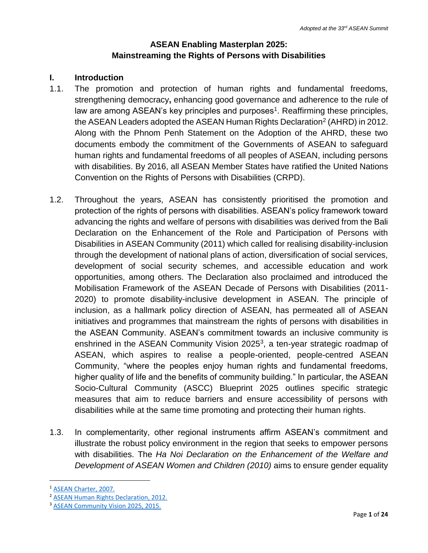## **ASEAN Enabling Masterplan 2025: Mainstreaming the Rights of Persons with Disabilities**

## **I. Introduction**

- 1.1. The promotion and protection of human rights and fundamental freedoms, strengthening democracy**,** enhancing good governance and adherence to the rule of law are among ASEAN's key principles and purposes<sup>1</sup>. Reaffirming these principles, the ASEAN Leaders adopted the ASEAN Human Rights Declaration<sup>2</sup> (AHRD) in 2012. Along with the Phnom Penh Statement on the Adoption of the AHRD, these two documents embody the commitment of the Governments of ASEAN to safeguard human rights and fundamental freedoms of all peoples of ASEAN, including persons with disabilities. By 2016, all ASEAN Member States have ratified the United Nations Convention on the Rights of Persons with Disabilities (CRPD).
- 1.2. Throughout the years, ASEAN has consistently prioritised the promotion and protection of the rights of persons with disabilities. ASEAN's policy framework toward advancing the rights and welfare of persons with disabilities was derived from the Bali Declaration on the Enhancement of the Role and Participation of Persons with Disabilities in ASEAN Community (2011) which called for realising disability-inclusion through the development of national plans of action, diversification of social services, development of social security schemes, and accessible education and work opportunities, among others. The Declaration also proclaimed and introduced the Mobilisation Framework of the ASEAN Decade of Persons with Disabilities (2011- 2020) to promote disability-inclusive development in ASEAN. The principle of inclusion, as a hallmark policy direction of ASEAN, has permeated all of ASEAN initiatives and programmes that mainstream the rights of persons with disabilities in the ASEAN Community. ASEAN's commitment towards an inclusive community is enshrined in the ASEAN Community Vision 2025<sup>3</sup>, a ten-year strategic roadmap of ASEAN, which aspires to realise a people-oriented, people-centred ASEAN Community, "where the peoples enjoy human rights and fundamental freedoms, higher quality of life and the benefits of community building." In particular, the ASEAN Socio-Cultural Community (ASCC) Blueprint 2025 outlines specific strategic measures that aim to reduce barriers and ensure accessibility of persons with disabilities while at the same time promoting and protecting their human rights.
- 1.3. In complementarity, other regional instruments affirm ASEAN's commitment and illustrate the robust policy environment in the region that seeks to empower persons with disabilities. The *Ha Noi Declaration on the Enhancement of the Welfare and Development of ASEAN Women and Children (2010)* aims to ensure gender equality

 $\overline{a}$ 

<sup>1</sup> [ASEAN Charter, 2007.](http://asean.org/wp-content/uploads/images/archive/publications/ASEAN-Charter.pdf)

<sup>2</sup> [ASEAN Human Rights Declaration, 2012.](http://aichr.org/documents/)

<sup>&</sup>lt;sup>3</sup> [ASEAN Community Vision 2025, 2015.](http://www.asean.org/storage/images/2015/November/aec-page/ASEAN-Community-Vision-2025.pdf)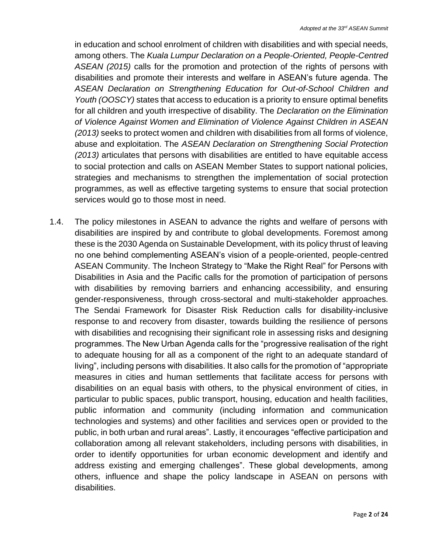in education and school enrolment of children with disabilities and with special needs, among others. The *Kuala Lumpur Declaration on a People-Oriented, People-Centred ASEAN (2015)* calls for the promotion and protection of the rights of persons with disabilities and promote their interests and welfare in ASEAN's future agenda. The *ASEAN Declaration on Strengthening Education for Out-of-School Children and Youth (OOSCY)* states that access to education is a priority to ensure optimal benefits for all children and youth irrespective of disability. The *Declaration on the Elimination of Violence Against Women and Elimination of Violence Against Children in ASEAN (2013)* seeks to protect women and children with disabilities from all forms of violence, abuse and exploitation. The *ASEAN Declaration on Strengthening Social Protection (2013)* articulates that persons with disabilities are entitled to have equitable access to social protection and calls on ASEAN Member States to support national policies, strategies and mechanisms to strengthen the implementation of social protection programmes, as well as effective targeting systems to ensure that social protection services would go to those most in need.

1.4. The policy milestones in ASEAN to advance the rights and welfare of persons with disabilities are inspired by and contribute to global developments. Foremost among these is the 2030 Agenda on Sustainable Development, with its policy thrust of leaving no one behind complementing ASEAN's vision of a people-oriented, people-centred ASEAN Community. The Incheon Strategy to "Make the Right Real" for Persons with Disabilities in Asia and the Pacific calls for the promotion of participation of persons with disabilities by removing barriers and enhancing accessibility, and ensuring gender-responsiveness, through cross-sectoral and multi-stakeholder approaches. The Sendai Framework for Disaster Risk Reduction calls for disability-inclusive response to and recovery from disaster, towards building the resilience of persons with disabilities and recognising their significant role in assessing risks and designing programmes. The New Urban Agenda calls for the "progressive realisation of the right to adequate housing for all as a component of the right to an adequate standard of living", including persons with disabilities. It also calls for the promotion of "appropriate measures in cities and human settlements that facilitate access for persons with disabilities on an equal basis with others, to the physical environment of cities, in particular to public spaces, public transport, housing, education and health facilities, public information and community (including information and communication technologies and systems) and other facilities and services open or provided to the public, in both urban and rural areas". Lastly, it encourages "effective participation and collaboration among all relevant stakeholders, including persons with disabilities, in order to identify opportunities for urban economic development and identify and address existing and emerging challenges". These global developments, among others, influence and shape the policy landscape in ASEAN on persons with disabilities.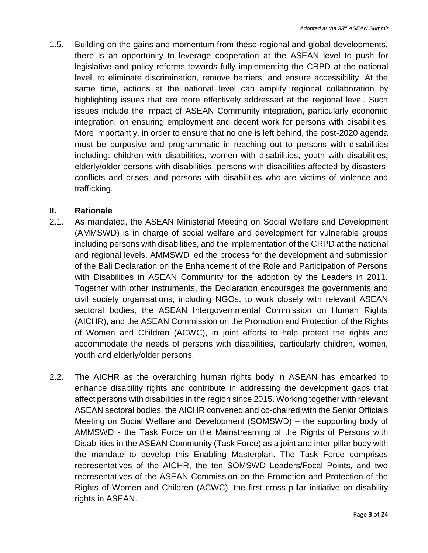1.5. Building on the gains and momentum from these regional and global developments, there is an opportunity to leverage cooperation at the ASEAN level to push for legislative and policy reforms towards fully implementing the CRPD at the national level, to eliminate discrimination, remove barriers, and ensure accessibility. At the same time, actions at the national level can amplify regional collaboration by highlighting issues that are more effectively addressed at the regional level. Such issues include the impact of ASEAN Community integration, particularly economic integration, on ensuring employment and decent work for persons with disabilities. More importantly, in order to ensure that no one is left behind, the post-2020 agenda must be purposive and programmatic in reaching out to persons with disabilities including: children with disabilities, women with disabilities, youth with disabilities**,** elderly/older persons with disabilities, persons with disabilities affected by disasters, conflicts and crises, and persons with disabilities who are victims of violence and trafficking.

#### **II. Rationale**

- 2.1. As mandated, the ASEAN Ministerial Meeting on Social Welfare and Development (AMMSWD) is in charge of social welfare and development for vulnerable groups including persons with disabilities, and the implementation of the CRPD at the national and regional levels. AMMSWD led the process for the development and submission of the Bali Declaration on the Enhancement of the Role and Participation of Persons with Disabilities in ASEAN Community for the adoption by the Leaders in 2011. Together with other instruments, the Declaration encourages the governments and civil society organisations, including NGOs, to work closely with relevant ASEAN sectoral bodies, the ASEAN Intergovernmental Commission on Human Rights (AICHR), and the ASEAN Commission on the Promotion and Protection of the Rights of Women and Children (ACWC), in joint efforts to help protect the rights and accommodate the needs of persons with disabilities, particularly children, women, youth and elderly/older persons.
- 2.2. The AICHR as the overarching human rights body in ASEAN has embarked to enhance disability rights and contribute in addressing the development gaps that affect persons with disabilities in the region since 2015. Working together with relevant ASEAN sectoral bodies, the AICHR convened and co-chaired with the Senior Officials Meeting on Social Welfare and Development (SOMSWD) – the supporting body of AMMSWD - the Task Force on the Mainstreaming of the Rights of Persons with Disabilities in the ASEAN Community (Task Force) as a joint and inter-pillar body with the mandate to develop this Enabling Masterplan. The Task Force comprises representatives of the AICHR, the ten SOMSWD Leaders/Focal Points, and two representatives of the ASEAN Commission on the Promotion and Protection of the Rights of Women and Children (ACWC), the first cross-pillar initiative on disability rights in ASEAN.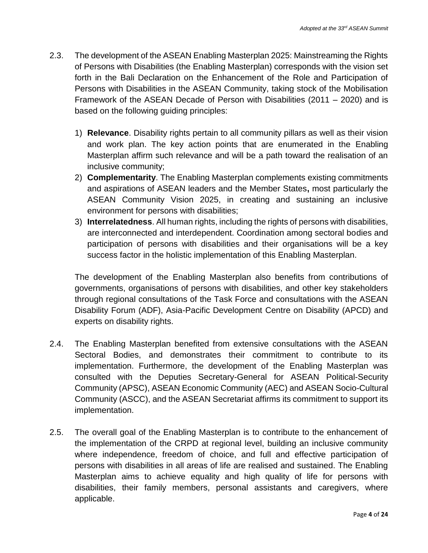- 2.3. The development of the ASEAN Enabling Masterplan 2025: Mainstreaming the Rights of Persons with Disabilities (the Enabling Masterplan) corresponds with the vision set forth in the Bali Declaration on the Enhancement of the Role and Participation of Persons with Disabilities in the ASEAN Community, taking stock of the Mobilisation Framework of the ASEAN Decade of Person with Disabilities (2011 – 2020) and is based on the following guiding principles:
	- 1) **Relevance**. Disability rights pertain to all community pillars as well as their vision and work plan. The key action points that are enumerated in the Enabling Masterplan affirm such relevance and will be a path toward the realisation of an inclusive community;
	- 2) **Complementarity**. The Enabling Masterplan complements existing commitments and aspirations of ASEAN leaders and the Member States**,** most particularly the ASEAN Community Vision 2025, in creating and sustaining an inclusive environment for persons with disabilities;
	- 3) **Interrelatedness**. All human rights, including the rights of persons with disabilities, are interconnected and interdependent. Coordination among sectoral bodies and participation of persons with disabilities and their organisations will be a key success factor in the holistic implementation of this Enabling Masterplan.

The development of the Enabling Masterplan also benefits from contributions of governments, organisations of persons with disabilities, and other key stakeholders through regional consultations of the Task Force and consultations with the ASEAN Disability Forum (ADF), Asia-Pacific Development Centre on Disability (APCD) and experts on disability rights.

- 2.4. The Enabling Masterplan benefited from extensive consultations with the ASEAN Sectoral Bodies, and demonstrates their commitment to contribute to its implementation. Furthermore, the development of the Enabling Masterplan was consulted with the Deputies Secretary-General for ASEAN Political-Security Community (APSC), ASEAN Economic Community (AEC) and ASEAN Socio-Cultural Community (ASCC), and the ASEAN Secretariat affirms its commitment to support its implementation.
- 2.5. The overall goal of the Enabling Masterplan is to contribute to the enhancement of the implementation of the CRPD at regional level, building an inclusive community where independence, freedom of choice, and full and effective participation of persons with disabilities in all areas of life are realised and sustained. The Enabling Masterplan aims to achieve equality and high quality of life for persons with disabilities, their family members, personal assistants and caregivers, where applicable.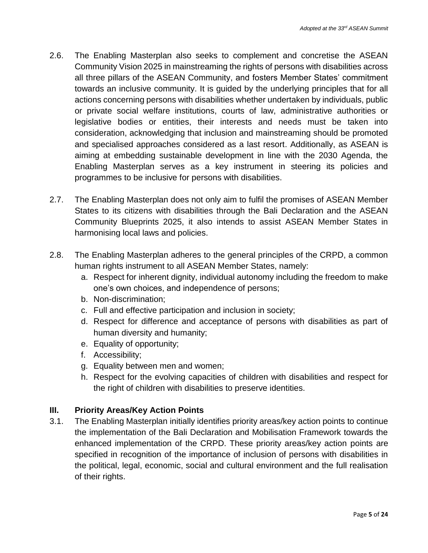- 2.6. The Enabling Masterplan also seeks to complement and concretise the ASEAN Community Vision 2025 in mainstreaming the rights of persons with disabilities across all three pillars of the ASEAN Community, and fosters Member States' commitment towards an inclusive community. It is guided by the underlying principles that for all actions concerning persons with disabilities whether undertaken by individuals, public or private social welfare institutions, courts of law, administrative authorities or legislative bodies or entities, their interests and needs must be taken into consideration, acknowledging that inclusion and mainstreaming should be promoted and specialised approaches considered as a last resort. Additionally, as ASEAN is aiming at embedding sustainable development in line with the 2030 Agenda, the Enabling Masterplan serves as a key instrument in steering its policies and programmes to be inclusive for persons with disabilities.
- 2.7. The Enabling Masterplan does not only aim to fulfil the promises of ASEAN Member States to its citizens with disabilities through the Bali Declaration and the ASEAN Community Blueprints 2025, it also intends to assist ASEAN Member States in harmonising local laws and policies.
- 2.8. The Enabling Masterplan adheres to the general principles of the CRPD, a common human rights instrument to all ASEAN Member States, namely:
	- a. Respect for inherent dignity, individual autonomy including the freedom to make one's own choices, and independence of persons;
	- b. Non-discrimination;
	- c. Full and effective participation and inclusion in society;
	- d. Respect for difference and acceptance of persons with disabilities as part of human diversity and humanity;
	- e. Equality of opportunity;
	- f. Accessibility;
	- g. Equality between men and women;
	- h. Respect for the evolving capacities of children with disabilities and respect for the right of children with disabilities to preserve identities.

## **III. Priority Areas/Key Action Points**

3.1. The Enabling Masterplan initially identifies priority areas/key action points to continue the implementation of the Bali Declaration and Mobilisation Framework towards the enhanced implementation of the CRPD. These priority areas/key action points are specified in recognition of the importance of inclusion of persons with disabilities in the political, legal, economic, social and cultural environment and the full realisation of their rights.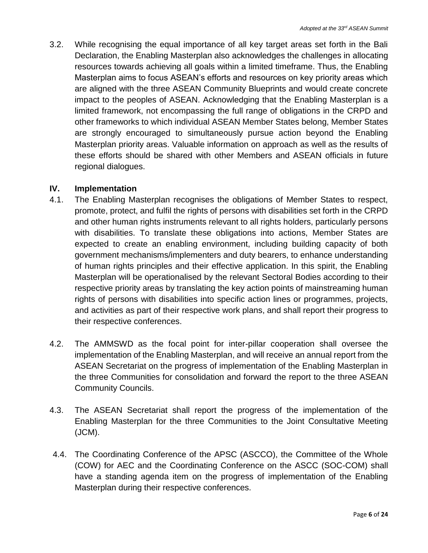3.2. While recognising the equal importance of all key target areas set forth in the Bali Declaration, the Enabling Masterplan also acknowledges the challenges in allocating resources towards achieving all goals within a limited timeframe. Thus, the Enabling Masterplan aims to focus ASEAN's efforts and resources on key priority areas which are aligned with the three ASEAN Community Blueprints and would create concrete impact to the peoples of ASEAN. Acknowledging that the Enabling Masterplan is a limited framework, not encompassing the full range of obligations in the CRPD and other frameworks to which individual ASEAN Member States belong, Member States are strongly encouraged to simultaneously pursue action beyond the Enabling Masterplan priority areas. Valuable information on approach as well as the results of these efforts should be shared with other Members and ASEAN officials in future regional dialogues.

#### **IV. Implementation**

- 4.1. The Enabling Masterplan recognises the obligations of Member States to respect, promote, protect, and fulfil the rights of persons with disabilities set forth in the CRPD and other human rights instruments relevant to all rights holders, particularly persons with disabilities. To translate these obligations into actions, Member States are expected to create an enabling environment, including building capacity of both government mechanisms/implementers and duty bearers, to enhance understanding of human rights principles and their effective application. In this spirit, the Enabling Masterplan will be operationalised by the relevant Sectoral Bodies according to their respective priority areas by translating the key action points of mainstreaming human rights of persons with disabilities into specific action lines or programmes, projects, and activities as part of their respective work plans, and shall report their progress to their respective conferences.
- 4.2. The AMMSWD as the focal point for inter-pillar cooperation shall oversee the implementation of the Enabling Masterplan, and will receive an annual report from the ASEAN Secretariat on the progress of implementation of the Enabling Masterplan in the three Communities for consolidation and forward the report to the three ASEAN Community Councils.
- 4.3. The ASEAN Secretariat shall report the progress of the implementation of the Enabling Masterplan for the three Communities to the Joint Consultative Meeting (JCM).
- 4.4. The Coordinating Conference of the APSC (ASCCO), the Committee of the Whole (COW) for AEC and the Coordinating Conference on the ASCC (SOC-COM) shall have a standing agenda item on the progress of implementation of the Enabling Masterplan during their respective conferences.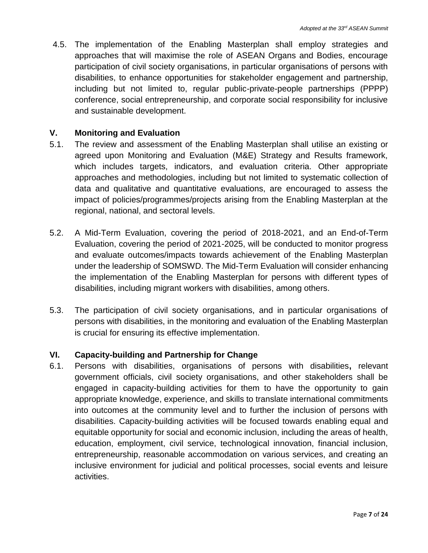4.5. The implementation of the Enabling Masterplan shall employ strategies and approaches that will maximise the role of ASEAN Organs and Bodies, encourage participation of civil society organisations, in particular organisations of persons with disabilities, to enhance opportunities for stakeholder engagement and partnership, including but not limited to, regular public-private-people partnerships (PPPP) conference, social entrepreneurship, and corporate social responsibility for inclusive and sustainable development.

#### **V. Monitoring and Evaluation**

- 5.1. The review and assessment of the Enabling Masterplan shall utilise an existing or agreed upon Monitoring and Evaluation (M&E) Strategy and Results framework, which includes targets, indicators, and evaluation criteria. Other appropriate approaches and methodologies, including but not limited to systematic collection of data and qualitative and quantitative evaluations, are encouraged to assess the impact of policies/programmes/projects arising from the Enabling Masterplan at the regional, national, and sectoral levels.
- 5.2. A Mid-Term Evaluation, covering the period of 2018-2021, and an End-of-Term Evaluation, covering the period of 2021-2025, will be conducted to monitor progress and evaluate outcomes/impacts towards achievement of the Enabling Masterplan under the leadership of SOMSWD. The Mid-Term Evaluation will consider enhancing the implementation of the Enabling Masterplan for persons with different types of disabilities, including migrant workers with disabilities, among others.
- 5.3. The participation of civil society organisations, and in particular organisations of persons with disabilities, in the monitoring and evaluation of the Enabling Masterplan is crucial for ensuring its effective implementation.

## **VI. Capacity-building and Partnership for Change**

6.1. Persons with disabilities, organisations of persons with disabilities**,** relevant government officials, civil society organisations, and other stakeholders shall be engaged in capacity-building activities for them to have the opportunity to gain appropriate knowledge, experience, and skills to translate international commitments into outcomes at the community level and to further the inclusion of persons with disabilities. Capacity-building activities will be focused towards enabling equal and equitable opportunity for social and economic inclusion, including the areas of health, education, employment, civil service, technological innovation, financial inclusion, entrepreneurship, reasonable accommodation on various services, and creating an inclusive environment for judicial and political processes, social events and leisure activities.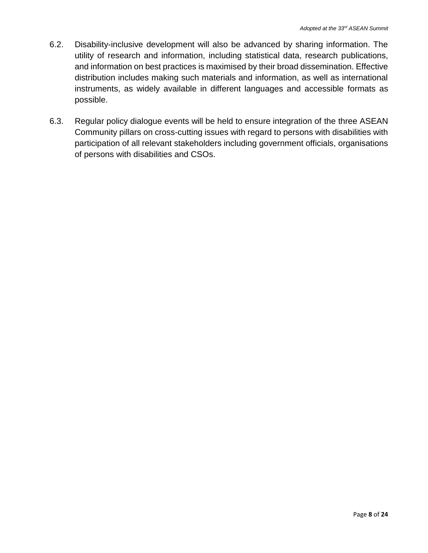- 6.2. Disability-inclusive development will also be advanced by sharing information. The utility of research and information, including statistical data, research publications, and information on best practices is maximised by their broad dissemination. Effective distribution includes making such materials and information, as well as international instruments, as widely available in different languages and accessible formats as possible.
- 6.3. Regular policy dialogue events will be held to ensure integration of the three ASEAN Community pillars on cross-cutting issues with regard to persons with disabilities with participation of all relevant stakeholders including government officials, organisations of persons with disabilities and CSOs.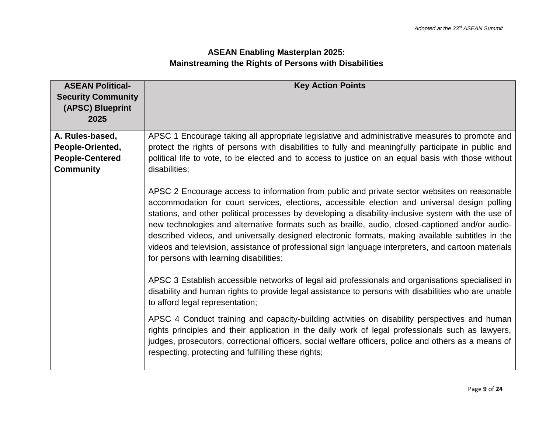# **ASEAN Enabling Masterplan 2025: Mainstreaming the Rights of Persons with Disabilities**

| <b>ASEAN Political-</b>                       | <b>Key Action Points</b>                                                                                                                                                                                                                                                                                                                                                                                                                                                                                                                                                                                                                                      |
|-----------------------------------------------|---------------------------------------------------------------------------------------------------------------------------------------------------------------------------------------------------------------------------------------------------------------------------------------------------------------------------------------------------------------------------------------------------------------------------------------------------------------------------------------------------------------------------------------------------------------------------------------------------------------------------------------------------------------|
| <b>Security Community</b><br>(APSC) Blueprint |                                                                                                                                                                                                                                                                                                                                                                                                                                                                                                                                                                                                                                                               |
| 2025                                          |                                                                                                                                                                                                                                                                                                                                                                                                                                                                                                                                                                                                                                                               |
| A. Rules-based,                               | APSC 1 Encourage taking all appropriate legislative and administrative measures to promote and                                                                                                                                                                                                                                                                                                                                                                                                                                                                                                                                                                |
| People-Oriented,                              | protect the rights of persons with disabilities to fully and meaningfully participate in public and                                                                                                                                                                                                                                                                                                                                                                                                                                                                                                                                                           |
| <b>People-Centered</b>                        | political life to vote, to be elected and to access to justice on an equal basis with those without                                                                                                                                                                                                                                                                                                                                                                                                                                                                                                                                                           |
| <b>Community</b>                              | disabilities;                                                                                                                                                                                                                                                                                                                                                                                                                                                                                                                                                                                                                                                 |
|                                               | APSC 2 Encourage access to information from public and private sector websites on reasonable<br>accommodation for court services, elections, accessible election and universal design polling<br>stations, and other political processes by developing a disability-inclusive system with the use of<br>new technologies and alternative formats such as braille, audio, closed-captioned and/or audio-<br>described videos, and universally designed electronic formats, making available subtitles in the<br>videos and television, assistance of professional sign language interpreters, and cartoon materials<br>for persons with learning disabilities; |
|                                               | APSC 3 Establish accessible networks of legal aid professionals and organisations specialised in<br>disability and human rights to provide legal assistance to persons with disabilities who are unable<br>to afford legal representation;                                                                                                                                                                                                                                                                                                                                                                                                                    |
|                                               | APSC 4 Conduct training and capacity-building activities on disability perspectives and human<br>rights principles and their application in the daily work of legal professionals such as lawyers,<br>judges, prosecutors, correctional officers, social welfare officers, police and others as a means of<br>respecting, protecting and fulfilling these rights;                                                                                                                                                                                                                                                                                             |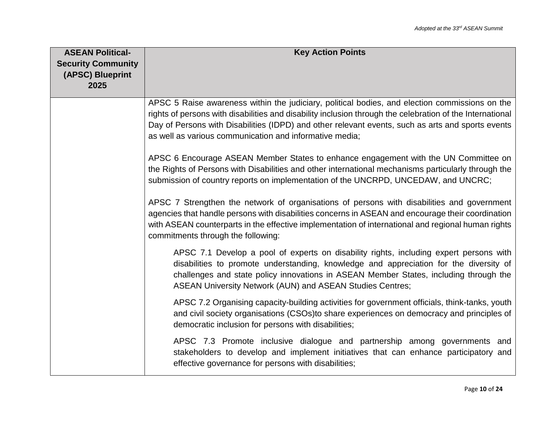| <b>ASEAN Political-</b>   | <b>Key Action Points</b>                                                                                                                                                                                                                                                                                                                    |
|---------------------------|---------------------------------------------------------------------------------------------------------------------------------------------------------------------------------------------------------------------------------------------------------------------------------------------------------------------------------------------|
| <b>Security Community</b> |                                                                                                                                                                                                                                                                                                                                             |
| (APSC) Blueprint          |                                                                                                                                                                                                                                                                                                                                             |
| 2025                      |                                                                                                                                                                                                                                                                                                                                             |
|                           |                                                                                                                                                                                                                                                                                                                                             |
|                           | APSC 5 Raise awareness within the judiciary, political bodies, and election commissions on the                                                                                                                                                                                                                                              |
|                           | rights of persons with disabilities and disability inclusion through the celebration of the International                                                                                                                                                                                                                                   |
|                           | Day of Persons with Disabilities (IDPD) and other relevant events, such as arts and sports events                                                                                                                                                                                                                                           |
|                           | as well as various communication and informative media;                                                                                                                                                                                                                                                                                     |
|                           | APSC 6 Encourage ASEAN Member States to enhance engagement with the UN Committee on<br>the Rights of Persons with Disabilities and other international mechanisms particularly through the<br>submission of country reports on implementation of the UNCRPD, UNCEDAW, and UNCRC;                                                            |
|                           | APSC 7 Strengthen the network of organisations of persons with disabilities and government<br>agencies that handle persons with disabilities concerns in ASEAN and encourage their coordination<br>with ASEAN counterparts in the effective implementation of international and regional human rights<br>commitments through the following: |
|                           | APSC 7.1 Develop a pool of experts on disability rights, including expert persons with<br>disabilities to promote understanding, knowledge and appreciation for the diversity of<br>challenges and state policy innovations in ASEAN Member States, including through the<br>ASEAN University Network (AUN) and ASEAN Studies Centres;      |
|                           | APSC 7.2 Organising capacity-building activities for government officials, think-tanks, youth<br>and civil society organisations (CSOs)to share experiences on democracy and principles of<br>democratic inclusion for persons with disabilities;                                                                                           |
|                           | APSC 7.3 Promote inclusive dialogue and partnership among governments and<br>stakeholders to develop and implement initiatives that can enhance participatory and<br>effective governance for persons with disabilities;                                                                                                                    |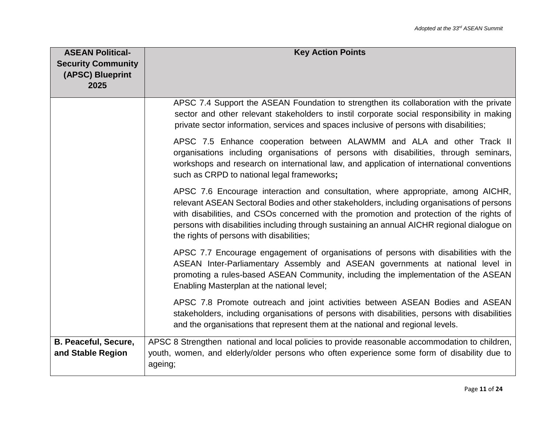| <b>ASEAN Political-</b><br><b>Security Community</b><br>(APSC) Blueprint<br>2025 | <b>Key Action Points</b>                                                                                                                                                                                                                                                                                                                                                                                             |
|----------------------------------------------------------------------------------|----------------------------------------------------------------------------------------------------------------------------------------------------------------------------------------------------------------------------------------------------------------------------------------------------------------------------------------------------------------------------------------------------------------------|
|                                                                                  | APSC 7.4 Support the ASEAN Foundation to strengthen its collaboration with the private<br>sector and other relevant stakeholders to instil corporate social responsibility in making<br>private sector information, services and spaces inclusive of persons with disabilities;                                                                                                                                      |
|                                                                                  | APSC 7.5 Enhance cooperation between ALAWMM and ALA and other Track II<br>organisations including organisations of persons with disabilities, through seminars,<br>workshops and research on international law, and application of international conventions<br>such as CRPD to national legal frameworks;                                                                                                           |
|                                                                                  | APSC 7.6 Encourage interaction and consultation, where appropriate, among AICHR,<br>relevant ASEAN Sectoral Bodies and other stakeholders, including organisations of persons<br>with disabilities, and CSOs concerned with the promotion and protection of the rights of<br>persons with disabilities including through sustaining an annual AICHR regional dialogue on<br>the rights of persons with disabilities; |
|                                                                                  | APSC 7.7 Encourage engagement of organisations of persons with disabilities with the<br>ASEAN Inter-Parliamentary Assembly and ASEAN governments at national level in<br>promoting a rules-based ASEAN Community, including the implementation of the ASEAN<br>Enabling Masterplan at the national level;                                                                                                            |
|                                                                                  | APSC 7.8 Promote outreach and joint activities between ASEAN Bodies and ASEAN<br>stakeholders, including organisations of persons with disabilities, persons with disabilities<br>and the organisations that represent them at the national and regional levels.                                                                                                                                                     |
| <b>B. Peaceful, Secure,</b><br>and Stable Region                                 | APSC 8 Strengthen national and local policies to provide reasonable accommodation to children,<br>youth, women, and elderly/older persons who often experience some form of disability due to<br>ageing;                                                                                                                                                                                                             |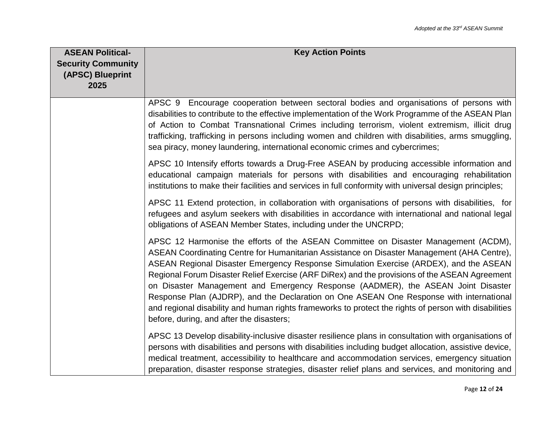| <b>ASEAN Political-</b><br><b>Security Community</b><br>(APSC) Blueprint<br>2025 | <b>Key Action Points</b>                                                                                                                                                                                                                                                                                                                                                                                                                                                                                                                                                                                                                                                                                        |
|----------------------------------------------------------------------------------|-----------------------------------------------------------------------------------------------------------------------------------------------------------------------------------------------------------------------------------------------------------------------------------------------------------------------------------------------------------------------------------------------------------------------------------------------------------------------------------------------------------------------------------------------------------------------------------------------------------------------------------------------------------------------------------------------------------------|
|                                                                                  | APSC 9 Encourage cooperation between sectoral bodies and organisations of persons with<br>disabilities to contribute to the effective implementation of the Work Programme of the ASEAN Plan<br>of Action to Combat Transnational Crimes including terrorism, violent extremism, illicit drug<br>trafficking, trafficking in persons including women and children with disabilities, arms smuggling,<br>sea piracy, money laundering, international economic crimes and cybercrimes;                                                                                                                                                                                                                            |
|                                                                                  | APSC 10 Intensify efforts towards a Drug-Free ASEAN by producing accessible information and<br>educational campaign materials for persons with disabilities and encouraging rehabilitation<br>institutions to make their facilities and services in full conformity with universal design principles;                                                                                                                                                                                                                                                                                                                                                                                                           |
|                                                                                  | APSC 11 Extend protection, in collaboration with organisations of persons with disabilities, for<br>refugees and asylum seekers with disabilities in accordance with international and national legal<br>obligations of ASEAN Member States, including under the UNCRPD;                                                                                                                                                                                                                                                                                                                                                                                                                                        |
|                                                                                  | APSC 12 Harmonise the efforts of the ASEAN Committee on Disaster Management (ACDM),<br>ASEAN Coordinating Centre for Humanitarian Assistance on Disaster Management (AHA Centre),<br>ASEAN Regional Disaster Emergency Response Simulation Exercise (ARDEX), and the ASEAN<br>Regional Forum Disaster Relief Exercise (ARF DiRex) and the provisions of the ASEAN Agreement<br>on Disaster Management and Emergency Response (AADMER), the ASEAN Joint Disaster<br>Response Plan (AJDRP), and the Declaration on One ASEAN One Response with international<br>and regional disability and human rights frameworks to protect the rights of person with disabilities<br>before, during, and after the disasters; |
|                                                                                  | APSC 13 Develop disability-inclusive disaster resilience plans in consultation with organisations of<br>persons with disabilities and persons with disabilities including budget allocation, assistive device,<br>medical treatment, accessibility to healthcare and accommodation services, emergency situation<br>preparation, disaster response strategies, disaster relief plans and services, and monitoring and                                                                                                                                                                                                                                                                                           |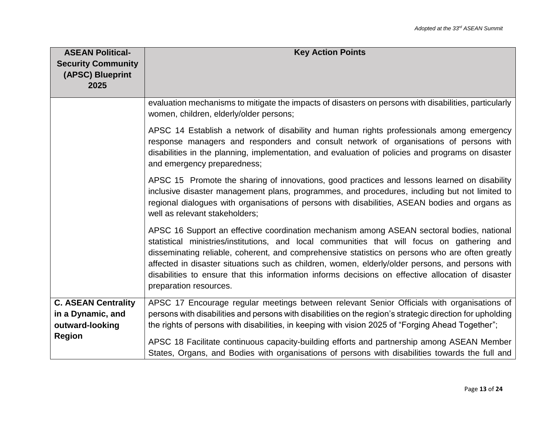| <b>ASEAN Political-</b><br><b>Security Community</b><br>(APSC) Blueprint<br>2025    | <b>Key Action Points</b>                                                                                                                                                                                                                                                                                                                                                                                                                                                                                                        |
|-------------------------------------------------------------------------------------|---------------------------------------------------------------------------------------------------------------------------------------------------------------------------------------------------------------------------------------------------------------------------------------------------------------------------------------------------------------------------------------------------------------------------------------------------------------------------------------------------------------------------------|
|                                                                                     | evaluation mechanisms to mitigate the impacts of disasters on persons with disabilities, particularly<br>women, children, elderly/older persons;                                                                                                                                                                                                                                                                                                                                                                                |
|                                                                                     | APSC 14 Establish a network of disability and human rights professionals among emergency<br>response managers and responders and consult network of organisations of persons with<br>disabilities in the planning, implementation, and evaluation of policies and programs on disaster<br>and emergency preparedness;                                                                                                                                                                                                           |
|                                                                                     | APSC 15 Promote the sharing of innovations, good practices and lessons learned on disability<br>inclusive disaster management plans, programmes, and procedures, including but not limited to<br>regional dialogues with organisations of persons with disabilities, ASEAN bodies and organs as<br>well as relevant stakeholders;                                                                                                                                                                                               |
|                                                                                     | APSC 16 Support an effective coordination mechanism among ASEAN sectoral bodies, national<br>statistical ministries/institutions, and local communities that will focus on gathering and<br>disseminating reliable, coherent, and comprehensive statistics on persons who are often greatly<br>affected in disaster situations such as children, women, elderly/older persons, and persons with<br>disabilities to ensure that this information informs decisions on effective allocation of disaster<br>preparation resources. |
| <b>C. ASEAN Centrality</b><br>in a Dynamic, and<br>outward-looking<br><b>Region</b> | APSC 17 Encourage regular meetings between relevant Senior Officials with organisations of<br>persons with disabilities and persons with disabilities on the region's strategic direction for upholding<br>the rights of persons with disabilities, in keeping with vision 2025 of "Forging Ahead Together";                                                                                                                                                                                                                    |
|                                                                                     | APSC 18 Facilitate continuous capacity-building efforts and partnership among ASEAN Member<br>States, Organs, and Bodies with organisations of persons with disabilities towards the full and                                                                                                                                                                                                                                                                                                                                   |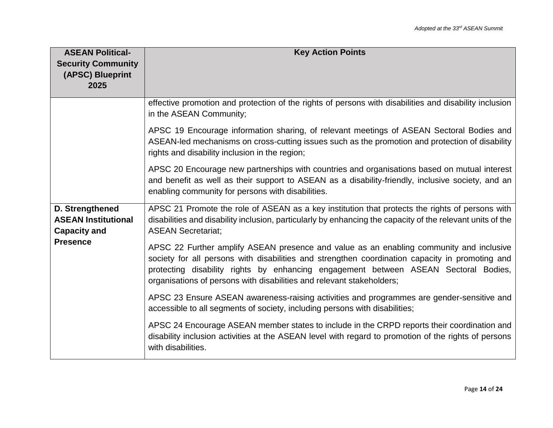| <b>ASEAN Political-</b><br><b>Security Community</b><br>(APSC) Blueprint<br>2025 | <b>Key Action Points</b>                                                                                                                                                                                                                                                                                                                                   |
|----------------------------------------------------------------------------------|------------------------------------------------------------------------------------------------------------------------------------------------------------------------------------------------------------------------------------------------------------------------------------------------------------------------------------------------------------|
|                                                                                  | effective promotion and protection of the rights of persons with disabilities and disability inclusion<br>in the ASEAN Community;                                                                                                                                                                                                                          |
|                                                                                  | APSC 19 Encourage information sharing, of relevant meetings of ASEAN Sectoral Bodies and<br>ASEAN-led mechanisms on cross-cutting issues such as the promotion and protection of disability<br>rights and disability inclusion in the region;                                                                                                              |
|                                                                                  | APSC 20 Encourage new partnerships with countries and organisations based on mutual interest<br>and benefit as well as their support to ASEAN as a disability-friendly, inclusive society, and an<br>enabling community for persons with disabilities.                                                                                                     |
| D. Strengthened<br><b>ASEAN Institutional</b><br><b>Capacity and</b>             | APSC 21 Promote the role of ASEAN as a key institution that protects the rights of persons with<br>disabilities and disability inclusion, particularly by enhancing the capacity of the relevant units of the<br><b>ASEAN Secretariat:</b>                                                                                                                 |
| <b>Presence</b>                                                                  | APSC 22 Further amplify ASEAN presence and value as an enabling community and inclusive<br>society for all persons with disabilities and strengthen coordination capacity in promoting and<br>protecting disability rights by enhancing engagement between ASEAN Sectoral Bodies,<br>organisations of persons with disabilities and relevant stakeholders; |
|                                                                                  | APSC 23 Ensure ASEAN awareness-raising activities and programmes are gender-sensitive and<br>accessible to all segments of society, including persons with disabilities;                                                                                                                                                                                   |
|                                                                                  | APSC 24 Encourage ASEAN member states to include in the CRPD reports their coordination and<br>disability inclusion activities at the ASEAN level with regard to promotion of the rights of persons<br>with disabilities.                                                                                                                                  |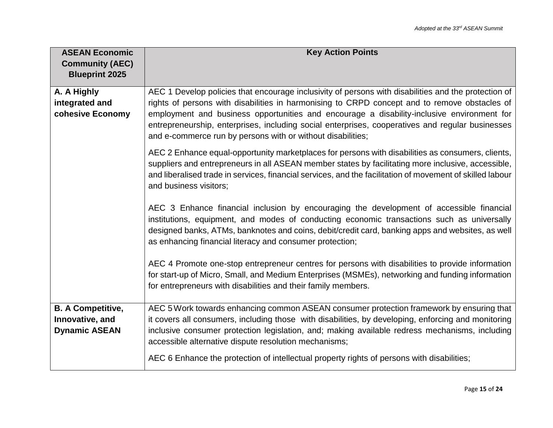| <b>ASEAN Economic</b><br><b>Community (AEC)</b><br><b>Blueprint 2025</b> | <b>Key Action Points</b>                                                                                                                                                                                                                                                                                                                                                                                                                                               |
|--------------------------------------------------------------------------|------------------------------------------------------------------------------------------------------------------------------------------------------------------------------------------------------------------------------------------------------------------------------------------------------------------------------------------------------------------------------------------------------------------------------------------------------------------------|
| A. A Highly<br>integrated and<br>cohesive Economy                        | AEC 1 Develop policies that encourage inclusivity of persons with disabilities and the protection of<br>rights of persons with disabilities in harmonising to CRPD concept and to remove obstacles of<br>employment and business opportunities and encourage a disability-inclusive environment for<br>entrepreneurship, enterprises, including social enterprises, cooperatives and regular businesses<br>and e-commerce run by persons with or without disabilities; |
|                                                                          | AEC 2 Enhance equal-opportunity marketplaces for persons with disabilities as consumers, clients,<br>suppliers and entrepreneurs in all ASEAN member states by facilitating more inclusive, accessible,<br>and liberalised trade in services, financial services, and the facilitation of movement of skilled labour<br>and business visitors;                                                                                                                         |
|                                                                          | AEC 3 Enhance financial inclusion by encouraging the development of accessible financial<br>institutions, equipment, and modes of conducting economic transactions such as universally<br>designed banks, ATMs, banknotes and coins, debit/credit card, banking apps and websites, as well<br>as enhancing financial literacy and consumer protection;                                                                                                                 |
|                                                                          | AEC 4 Promote one-stop entrepreneur centres for persons with disabilities to provide information<br>for start-up of Micro, Small, and Medium Enterprises (MSMEs), networking and funding information<br>for entrepreneurs with disabilities and their family members.                                                                                                                                                                                                  |
| <b>B. A Competitive,</b><br>Innovative, and<br><b>Dynamic ASEAN</b>      | AEC 5 Work towards enhancing common ASEAN consumer protection framework by ensuring that<br>it covers all consumers, including those with disabilities, by developing, enforcing and monitoring<br>inclusive consumer protection legislation, and; making available redress mechanisms, including<br>accessible alternative dispute resolution mechanisms;<br>AEC 6 Enhance the protection of intellectual property rights of persons with disabilities;               |
|                                                                          |                                                                                                                                                                                                                                                                                                                                                                                                                                                                        |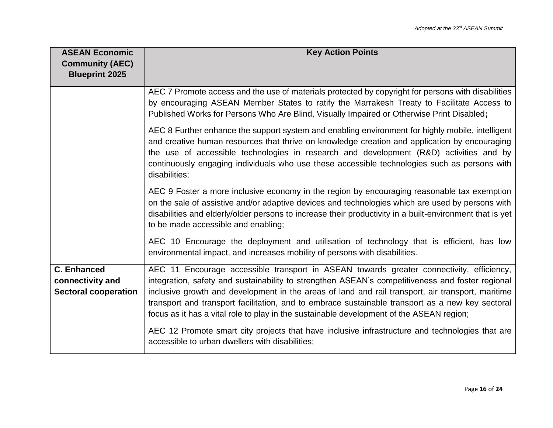| <b>ASEAN Economic</b><br><b>Community (AEC)</b><br><b>Blueprint 2025</b> | <b>Key Action Points</b>                                                                                                                                                                                                                                                                                                                                                                                                                                                                          |
|--------------------------------------------------------------------------|---------------------------------------------------------------------------------------------------------------------------------------------------------------------------------------------------------------------------------------------------------------------------------------------------------------------------------------------------------------------------------------------------------------------------------------------------------------------------------------------------|
|                                                                          | AEC 7 Promote access and the use of materials protected by copyright for persons with disabilities<br>by encouraging ASEAN Member States to ratify the Marrakesh Treaty to Facilitate Access to<br>Published Works for Persons Who Are Blind, Visually Impaired or Otherwise Print Disabled;                                                                                                                                                                                                      |
|                                                                          | AEC 8 Further enhance the support system and enabling environment for highly mobile, intelligent<br>and creative human resources that thrive on knowledge creation and application by encouraging<br>the use of accessible technologies in research and development (R&D) activities and by<br>continuously engaging individuals who use these accessible technologies such as persons with<br>disabilities;                                                                                      |
|                                                                          | AEC 9 Foster a more inclusive economy in the region by encouraging reasonable tax exemption<br>on the sale of assistive and/or adaptive devices and technologies which are used by persons with<br>disabilities and elderly/older persons to increase their productivity in a built-environment that is yet<br>to be made accessible and enabling;                                                                                                                                                |
|                                                                          | AEC 10 Encourage the deployment and utilisation of technology that is efficient, has low<br>environmental impact, and increases mobility of persons with disabilities.                                                                                                                                                                                                                                                                                                                            |
| <b>C. Enhanced</b><br>connectivity and<br><b>Sectoral cooperation</b>    | AEC 11 Encourage accessible transport in ASEAN towards greater connectivity, efficiency,<br>integration, safety and sustainability to strengthen ASEAN's competitiveness and foster regional<br>inclusive growth and development in the areas of land and rail transport, air transport, maritime<br>transport and transport facilitation, and to embrace sustainable transport as a new key sectoral<br>focus as it has a vital role to play in the sustainable development of the ASEAN region; |
|                                                                          | AEC 12 Promote smart city projects that have inclusive infrastructure and technologies that are<br>accessible to urban dwellers with disabilities;                                                                                                                                                                                                                                                                                                                                                |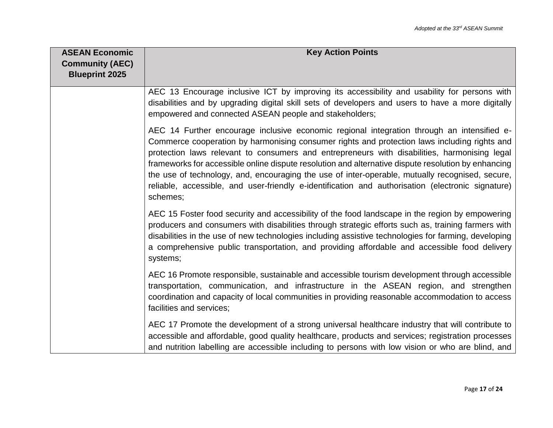| <b>ASEAN Economic</b><br><b>Community (AEC)</b><br><b>Blueprint 2025</b> | <b>Key Action Points</b>                                                                                                                                                                                                                                                                                                                                                                                                                                                                                                                                                                                              |
|--------------------------------------------------------------------------|-----------------------------------------------------------------------------------------------------------------------------------------------------------------------------------------------------------------------------------------------------------------------------------------------------------------------------------------------------------------------------------------------------------------------------------------------------------------------------------------------------------------------------------------------------------------------------------------------------------------------|
|                                                                          | AEC 13 Encourage inclusive ICT by improving its accessibility and usability for persons with<br>disabilities and by upgrading digital skill sets of developers and users to have a more digitally<br>empowered and connected ASEAN people and stakeholders;                                                                                                                                                                                                                                                                                                                                                           |
|                                                                          | AEC 14 Further encourage inclusive economic regional integration through an intensified e-<br>Commerce cooperation by harmonising consumer rights and protection laws including rights and<br>protection laws relevant to consumers and entrepreneurs with disabilities, harmonising legal<br>frameworks for accessible online dispute resolution and alternative dispute resolution by enhancing<br>the use of technology, and, encouraging the use of inter-operable, mutually recognised, secure,<br>reliable, accessible, and user-friendly e-identification and authorisation (electronic signature)<br>schemes; |
|                                                                          | AEC 15 Foster food security and accessibility of the food landscape in the region by empowering<br>producers and consumers with disabilities through strategic efforts such as, training farmers with<br>disabilities in the use of new technologies including assistive technologies for farming, developing<br>a comprehensive public transportation, and providing affordable and accessible food delivery<br>systems;                                                                                                                                                                                             |
|                                                                          | AEC 16 Promote responsible, sustainable and accessible tourism development through accessible<br>transportation, communication, and infrastructure in the ASEAN region, and strengthen<br>coordination and capacity of local communities in providing reasonable accommodation to access<br>facilities and services;                                                                                                                                                                                                                                                                                                  |
|                                                                          | AEC 17 Promote the development of a strong universal healthcare industry that will contribute to<br>accessible and affordable, good quality healthcare, products and services; registration processes<br>and nutrition labelling are accessible including to persons with low vision or who are blind, and                                                                                                                                                                                                                                                                                                            |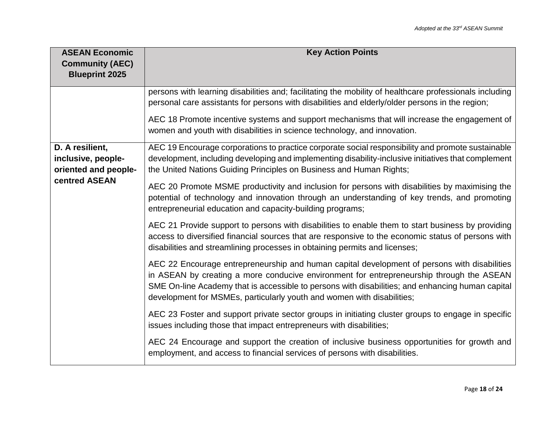| <b>ASEAN Economic</b><br><b>Community (AEC)</b><br><b>Blueprint 2025</b>       | <b>Key Action Points</b>                                                                                                                                                                                                                                                                                                                                               |
|--------------------------------------------------------------------------------|------------------------------------------------------------------------------------------------------------------------------------------------------------------------------------------------------------------------------------------------------------------------------------------------------------------------------------------------------------------------|
|                                                                                | persons with learning disabilities and; facilitating the mobility of healthcare professionals including<br>personal care assistants for persons with disabilities and elderly/older persons in the region;                                                                                                                                                             |
|                                                                                | AEC 18 Promote incentive systems and support mechanisms that will increase the engagement of<br>women and youth with disabilities in science technology, and innovation.                                                                                                                                                                                               |
| D. A resilient,<br>inclusive, people-<br>oriented and people-<br>centred ASEAN | AEC 19 Encourage corporations to practice corporate social responsibility and promote sustainable<br>development, including developing and implementing disability-inclusive initiatives that complement<br>the United Nations Guiding Principles on Business and Human Rights;                                                                                        |
|                                                                                | AEC 20 Promote MSME productivity and inclusion for persons with disabilities by maximising the<br>potential of technology and innovation through an understanding of key trends, and promoting<br>entrepreneurial education and capacity-building programs;                                                                                                            |
|                                                                                | AEC 21 Provide support to persons with disabilities to enable them to start business by providing<br>access to diversified financial sources that are responsive to the economic status of persons with<br>disabilities and streamlining processes in obtaining permits and licenses;                                                                                  |
|                                                                                | AEC 22 Encourage entrepreneurship and human capital development of persons with disabilities<br>in ASEAN by creating a more conducive environment for entrepreneurship through the ASEAN<br>SME On-line Academy that is accessible to persons with disabilities; and enhancing human capital<br>development for MSMEs, particularly youth and women with disabilities; |
|                                                                                | AEC 23 Foster and support private sector groups in initiating cluster groups to engage in specific<br>issues including those that impact entrepreneurs with disabilities;                                                                                                                                                                                              |
|                                                                                | AEC 24 Encourage and support the creation of inclusive business opportunities for growth and<br>employment, and access to financial services of persons with disabilities.                                                                                                                                                                                             |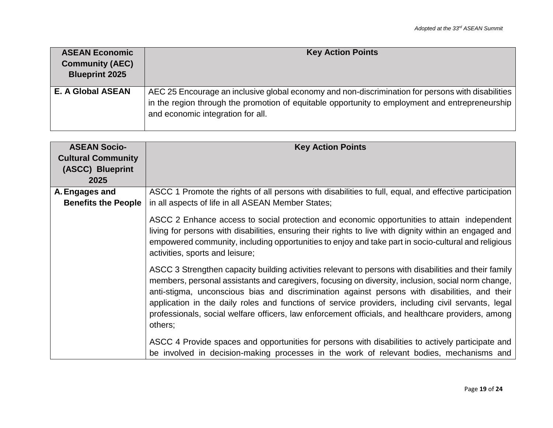| <b>ASEAN Economic</b><br><b>Community (AEC)</b><br><b>Blueprint 2025</b> | <b>Key Action Points</b>                                                                                                                                                                                                                  |
|--------------------------------------------------------------------------|-------------------------------------------------------------------------------------------------------------------------------------------------------------------------------------------------------------------------------------------|
| <b>E. A Global ASEAN</b>                                                 | AEC 25 Encourage an inclusive global economy and non-discrimination for persons with disabilities<br>in the region through the promotion of equitable opportunity to employment and entrepreneurship<br>and economic integration for all. |

| <b>ASEAN Socio-</b>        | <b>Key Action Points</b>                                                                                                                                                                                                                                                                                                                                                                                                                                                                                                            |
|----------------------------|-------------------------------------------------------------------------------------------------------------------------------------------------------------------------------------------------------------------------------------------------------------------------------------------------------------------------------------------------------------------------------------------------------------------------------------------------------------------------------------------------------------------------------------|
| <b>Cultural Community</b>  |                                                                                                                                                                                                                                                                                                                                                                                                                                                                                                                                     |
| (ASCC) Blueprint           |                                                                                                                                                                                                                                                                                                                                                                                                                                                                                                                                     |
| 2025                       |                                                                                                                                                                                                                                                                                                                                                                                                                                                                                                                                     |
| A. Engages and             | ASCC 1 Promote the rights of all persons with disabilities to full, equal, and effective participation                                                                                                                                                                                                                                                                                                                                                                                                                              |
| <b>Benefits the People</b> | in all aspects of life in all ASEAN Member States;                                                                                                                                                                                                                                                                                                                                                                                                                                                                                  |
|                            | ASCC 2 Enhance access to social protection and economic opportunities to attain independent<br>living for persons with disabilities, ensuring their rights to live with dignity within an engaged and<br>empowered community, including opportunities to enjoy and take part in socio-cultural and religious<br>activities, sports and leisure;                                                                                                                                                                                     |
|                            | ASCC 3 Strengthen capacity building activities relevant to persons with disabilities and their family<br>members, personal assistants and caregivers, focusing on diversity, inclusion, social norm change,<br>anti-stigma, unconscious bias and discrimination against persons with disabilities, and their<br>application in the daily roles and functions of service providers, including civil servants, legal<br>professionals, social welfare officers, law enforcement officials, and healthcare providers, among<br>others; |
|                            | ASCC 4 Provide spaces and opportunities for persons with disabilities to actively participate and<br>be involved in decision-making processes in the work of relevant bodies, mechanisms and                                                                                                                                                                                                                                                                                                                                        |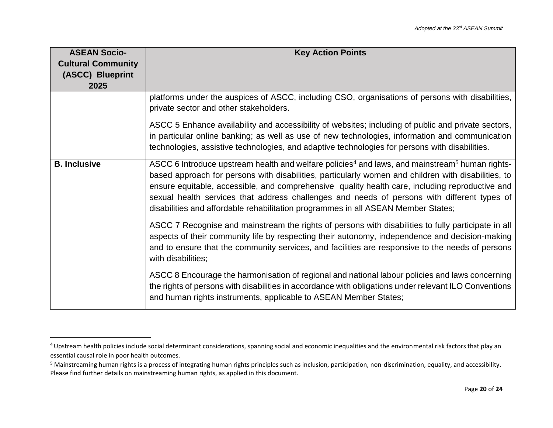| <b>ASEAN Socio-</b>       | <b>Key Action Points</b>                                                                                                                                                                                                                                                                                                                                                                                                                                                                                             |
|---------------------------|----------------------------------------------------------------------------------------------------------------------------------------------------------------------------------------------------------------------------------------------------------------------------------------------------------------------------------------------------------------------------------------------------------------------------------------------------------------------------------------------------------------------|
| <b>Cultural Community</b> |                                                                                                                                                                                                                                                                                                                                                                                                                                                                                                                      |
| (ASCC) Blueprint          |                                                                                                                                                                                                                                                                                                                                                                                                                                                                                                                      |
| 2025                      |                                                                                                                                                                                                                                                                                                                                                                                                                                                                                                                      |
|                           | platforms under the auspices of ASCC, including CSO, organisations of persons with disabilities,<br>private sector and other stakeholders.                                                                                                                                                                                                                                                                                                                                                                           |
|                           | ASCC 5 Enhance availability and accessibility of websites; including of public and private sectors,<br>in particular online banking; as well as use of new technologies, information and communication<br>technologies, assistive technologies, and adaptive technologies for persons with disabilities.                                                                                                                                                                                                             |
| <b>B.</b> Inclusive       | ASCC 6 Introduce upstream health and welfare policies <sup>4</sup> and laws, and mainstream <sup>5</sup> human rights-<br>based approach for persons with disabilities, particularly women and children with disabilities, to<br>ensure equitable, accessible, and comprehensive quality health care, including reproductive and<br>sexual health services that address challenges and needs of persons with different types of<br>disabilities and affordable rehabilitation programmes in all ASEAN Member States; |
|                           | ASCC 7 Recognise and mainstream the rights of persons with disabilities to fully participate in all<br>aspects of their community life by respecting their autonomy, independence and decision-making<br>and to ensure that the community services, and facilities are responsive to the needs of persons<br>with disabilities;                                                                                                                                                                                      |
|                           | ASCC 8 Encourage the harmonisation of regional and national labour policies and laws concerning<br>the rights of persons with disabilities in accordance with obligations under relevant ILO Conventions<br>and human rights instruments, applicable to ASEAN Member States;                                                                                                                                                                                                                                         |

l

<sup>&</sup>lt;sup>4</sup> Upstream health policies include social determinant considerations, spanning social and economic inequalities and the environmental risk factors that play an essential causal role in poor health outcomes.

<sup>&</sup>lt;sup>5</sup> Mainstreaming human rights is a process of integrating human rights principles such as inclusion, participation, non-discrimination, equality, and accessibility. Please find further details on mainstreaming human rights, as applied in this document.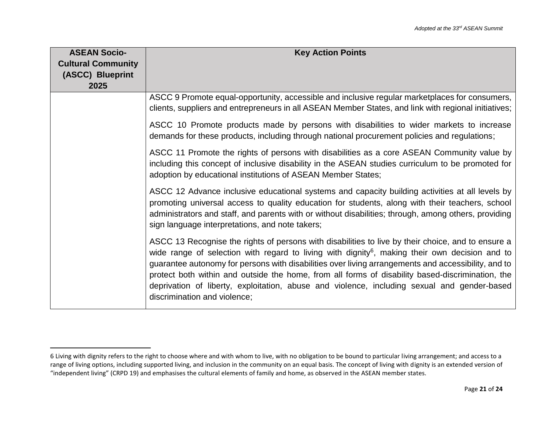| <b>ASEAN Socio-</b>       | <b>Key Action Points</b>                                                                                                                                                                                                                                                                                                                                                                                                                                                                                                                                   |
|---------------------------|------------------------------------------------------------------------------------------------------------------------------------------------------------------------------------------------------------------------------------------------------------------------------------------------------------------------------------------------------------------------------------------------------------------------------------------------------------------------------------------------------------------------------------------------------------|
| <b>Cultural Community</b> |                                                                                                                                                                                                                                                                                                                                                                                                                                                                                                                                                            |
| (ASCC) Blueprint          |                                                                                                                                                                                                                                                                                                                                                                                                                                                                                                                                                            |
| 2025                      |                                                                                                                                                                                                                                                                                                                                                                                                                                                                                                                                                            |
|                           | ASCC 9 Promote equal-opportunity, accessible and inclusive regular marketplaces for consumers,<br>clients, suppliers and entrepreneurs in all ASEAN Member States, and link with regional initiatives;                                                                                                                                                                                                                                                                                                                                                     |
|                           | ASCC 10 Promote products made by persons with disabilities to wider markets to increase<br>demands for these products, including through national procurement policies and regulations;                                                                                                                                                                                                                                                                                                                                                                    |
|                           | ASCC 11 Promote the rights of persons with disabilities as a core ASEAN Community value by<br>including this concept of inclusive disability in the ASEAN studies curriculum to be promoted for<br>adoption by educational institutions of ASEAN Member States;                                                                                                                                                                                                                                                                                            |
|                           | ASCC 12 Advance inclusive educational systems and capacity building activities at all levels by<br>promoting universal access to quality education for students, along with their teachers, school<br>administrators and staff, and parents with or without disabilities; through, among others, providing<br>sign language interpretations, and note takers;                                                                                                                                                                                              |
|                           | ASCC 13 Recognise the rights of persons with disabilities to live by their choice, and to ensure a<br>wide range of selection with regard to living with dignity <sup>6</sup> , making their own decision and to<br>guarantee autonomy for persons with disabilities over living arrangements and accessibility, and to<br>protect both within and outside the home, from all forms of disability based-discrimination, the<br>deprivation of liberty, exploitation, abuse and violence, including sexual and gender-based<br>discrimination and violence; |

 $\overline{\phantom{a}}$ 

<sup>6</sup> Living with dignity refers to the right to choose where and with whom to live, with no obligation to be bound to particular living arrangement; and access to a range of living options, including supported living, and inclusion in the community on an equal basis. The concept of living with dignity is an extended version of "independent living" (CRPD 19) and emphasises the cultural elements of family and home, as observed in the ASEAN member states.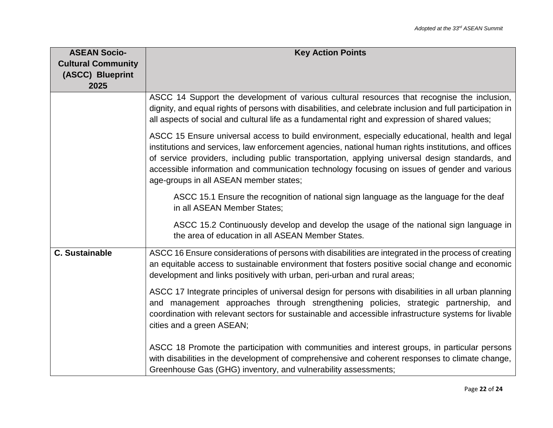| <b>ASEAN Socio-</b><br><b>Cultural Community</b><br>(ASCC) Blueprint | <b>Key Action Points</b>                                                                                                                                                                                                                                                                                                                                                                                                                            |
|----------------------------------------------------------------------|-----------------------------------------------------------------------------------------------------------------------------------------------------------------------------------------------------------------------------------------------------------------------------------------------------------------------------------------------------------------------------------------------------------------------------------------------------|
| 2025                                                                 | ASCC 14 Support the development of various cultural resources that recognise the inclusion,<br>dignity, and equal rights of persons with disabilities, and celebrate inclusion and full participation in<br>all aspects of social and cultural life as a fundamental right and expression of shared values;                                                                                                                                         |
|                                                                      | ASCC 15 Ensure universal access to build environment, especially educational, health and legal<br>institutions and services, law enforcement agencies, national human rights institutions, and offices<br>of service providers, including public transportation, applying universal design standards, and<br>accessible information and communication technology focusing on issues of gender and various<br>age-groups in all ASEAN member states; |
|                                                                      | ASCC 15.1 Ensure the recognition of national sign language as the language for the deaf<br>in all ASEAN Member States;                                                                                                                                                                                                                                                                                                                              |
|                                                                      | ASCC 15.2 Continuously develop and develop the usage of the national sign language in<br>the area of education in all ASEAN Member States.                                                                                                                                                                                                                                                                                                          |
| <b>C.</b> Sustainable                                                | ASCC 16 Ensure considerations of persons with disabilities are integrated in the process of creating<br>an equitable access to sustainable environment that fosters positive social change and economic<br>development and links positively with urban, peri-urban and rural areas;                                                                                                                                                                 |
|                                                                      | ASCC 17 Integrate principles of universal design for persons with disabilities in all urban planning<br>and management approaches through strengthening policies, strategic partnership, and<br>coordination with relevant sectors for sustainable and accessible infrastructure systems for livable<br>cities and a green ASEAN;                                                                                                                   |
|                                                                      | ASCC 18 Promote the participation with communities and interest groups, in particular persons<br>with disabilities in the development of comprehensive and coherent responses to climate change,<br>Greenhouse Gas (GHG) inventory, and vulnerability assessments;                                                                                                                                                                                  |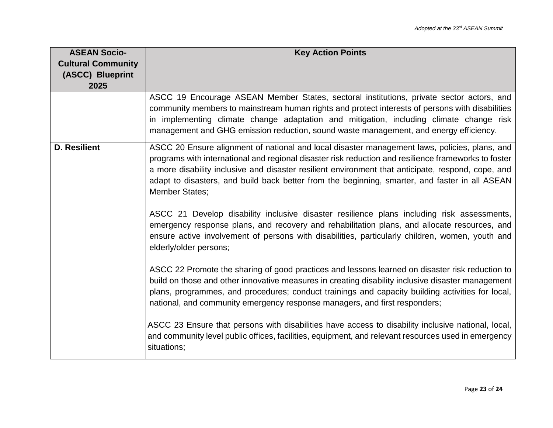| <b>ASEAN Socio-</b>                           | <b>Key Action Points</b>                                                                                                                                                                                                                                                                                                                                                                                                               |
|-----------------------------------------------|----------------------------------------------------------------------------------------------------------------------------------------------------------------------------------------------------------------------------------------------------------------------------------------------------------------------------------------------------------------------------------------------------------------------------------------|
| <b>Cultural Community</b><br>(ASCC) Blueprint |                                                                                                                                                                                                                                                                                                                                                                                                                                        |
| 2025                                          |                                                                                                                                                                                                                                                                                                                                                                                                                                        |
|                                               | ASCC 19 Encourage ASEAN Member States, sectoral institutions, private sector actors, and<br>community members to mainstream human rights and protect interests of persons with disabilities<br>in implementing climate change adaptation and mitigation, including climate change risk<br>management and GHG emission reduction, sound waste management, and energy efficiency.                                                        |
| <b>D. Resilient</b>                           | ASCC 20 Ensure alignment of national and local disaster management laws, policies, plans, and<br>programs with international and regional disaster risk reduction and resilience frameworks to foster<br>a more disability inclusive and disaster resilient environment that anticipate, respond, cope, and<br>adapt to disasters, and build back better from the beginning, smarter, and faster in all ASEAN<br><b>Member States;</b> |
|                                               | ASCC 21 Develop disability inclusive disaster resilience plans including risk assessments,<br>emergency response plans, and recovery and rehabilitation plans, and allocate resources, and<br>ensure active involvement of persons with disabilities, particularly children, women, youth and<br>elderly/older persons;                                                                                                                |
|                                               | ASCC 22 Promote the sharing of good practices and lessons learned on disaster risk reduction to<br>build on those and other innovative measures in creating disability inclusive disaster management<br>plans, programmes, and procedures; conduct trainings and capacity building activities for local,<br>national, and community emergency response managers, and first responders;                                                 |
|                                               | ASCC 23 Ensure that persons with disabilities have access to disability inclusive national, local,<br>and community level public offices, facilities, equipment, and relevant resources used in emergency<br>situations;                                                                                                                                                                                                               |